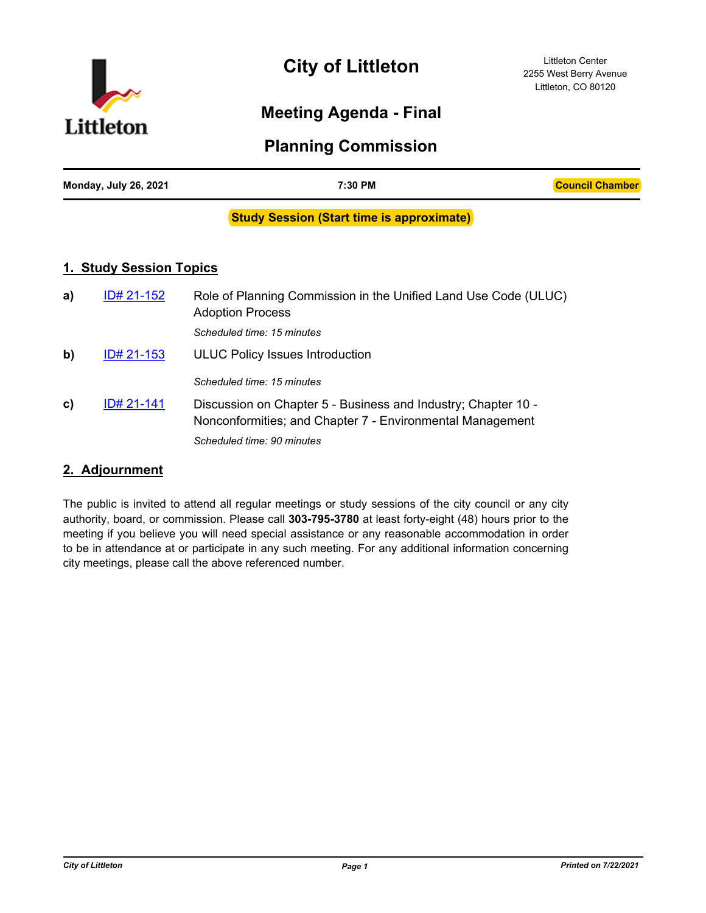

# **City of Littleton**

Littleton Center 2255 West Berry Avenue Littleton, CO 80120

# **Meeting Agenda - Final**

# **Planning Commission**

| Monday, July 26, 2021 | 7:30 PM | <b>Council Chamber</b> |
|-----------------------|---------|------------------------|
|                       |         |                        |

#### **Study Session (Start time is approximate)**

# **1. Study Session Topics**

| a) | ID# 21-152 | Role of Planning Commission in the Unified Land Use Code (ULUC)<br><b>Adoption Process</b>                                 |
|----|------------|----------------------------------------------------------------------------------------------------------------------------|
|    |            | Scheduled time: 15 minutes                                                                                                 |
| b) | ID# 21-153 | <b>ULUC Policy Issues Introduction</b>                                                                                     |
|    |            | Scheduled time: 15 minutes                                                                                                 |
| C) | ID# 21-141 | Discussion on Chapter 5 - Business and Industry; Chapter 10 -<br>Nonconformities; and Chapter 7 - Environmental Management |
|    |            | Scheduled time: 90 minutes                                                                                                 |

# **2. Adjournment**

The public is invited to attend all regular meetings or study sessions of the city council or any city authority, board, or commission. Please call **303-795-3780** at least forty-eight (48) hours prior to the meeting if you believe you will need special assistance or any reasonable accommodation in order to be in attendance at or participate in any such meeting. For any additional information concerning city meetings, please call the above referenced number.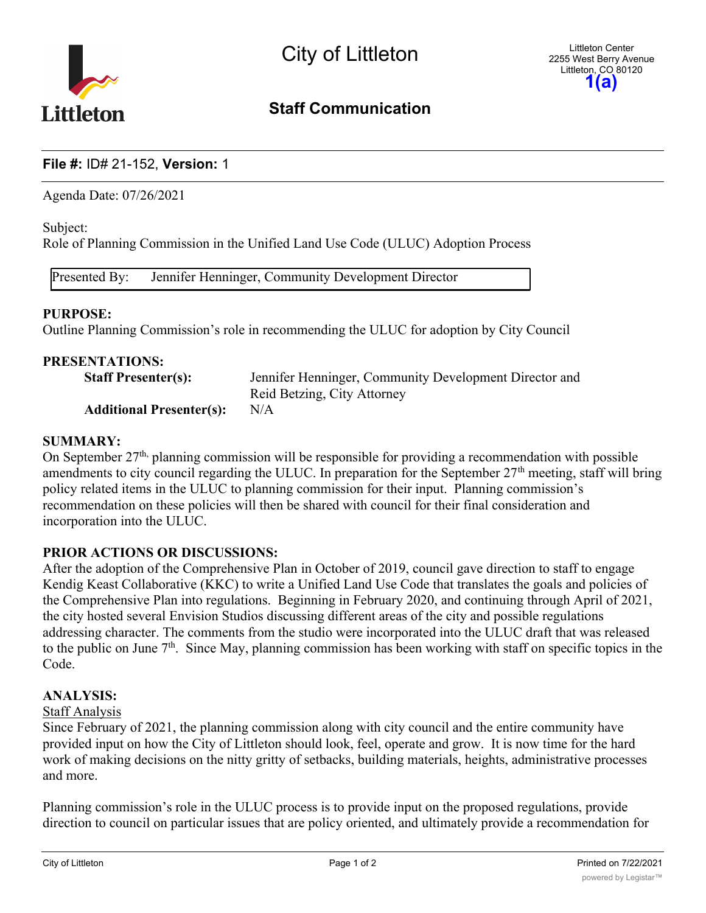

# **Staff Communication**

# **File #:** ID# 21-152, **Version:** 1

Agenda Date: 07/26/2021

Subject:

Role of Planning Commission in the Unified Land Use Code (ULUC) Adoption Process

Presented By: Jennifer Henninger, Community Development Director

#### **PURPOSE:**

Outline Planning Commission's role in recommending the ULUC for adoption by City Council

| Jennifer Henninger, Community Development Director and |
|--------------------------------------------------------|
| Reid Betzing, City Attorney                            |
| N/A                                                    |
|                                                        |

#### **SUMMARY:**

On September  $27<sup>th</sup>$ , planning commission will be responsible for providing a recommendation with possible amendments to city council regarding the ULUC. In preparation for the September  $27<sup>th</sup>$  meeting, staff will bring policy related items in the ULUC to planning commission for their input. Planning commission's recommendation on these policies will then be shared with council for their final consideration and incorporation into the ULUC.

# **PRIOR ACTIONS OR DISCUSSIONS:**

After the adoption of the Comprehensive Plan in October of 2019, council gave direction to staff to engage Kendig Keast Collaborative (KKC) to write a Unified Land Use Code that translates the goals and policies of the Comprehensive Plan into regulations. Beginning in February 2020, and continuing through April of 2021, the city hosted several Envision Studios discussing different areas of the city and possible regulations addressing character. The comments from the studio were incorporated into the ULUC draft that was released to the public on June  $7<sup>th</sup>$ . Since May, planning commission has been working with staff on specific topics in the Code.

#### **ANALYSIS:**

#### Staff Analysis

Since February of 2021, the planning commission along with city council and the entire community have provided input on how the City of Littleton should look, feel, operate and grow. It is now time for the hard work of making decisions on the nitty gritty of setbacks, building materials, heights, administrative processes and more.

Planning commission's role in the ULUC process is to provide input on the proposed regulations, provide direction to council on particular issues that are policy oriented, and ultimately provide a recommendation for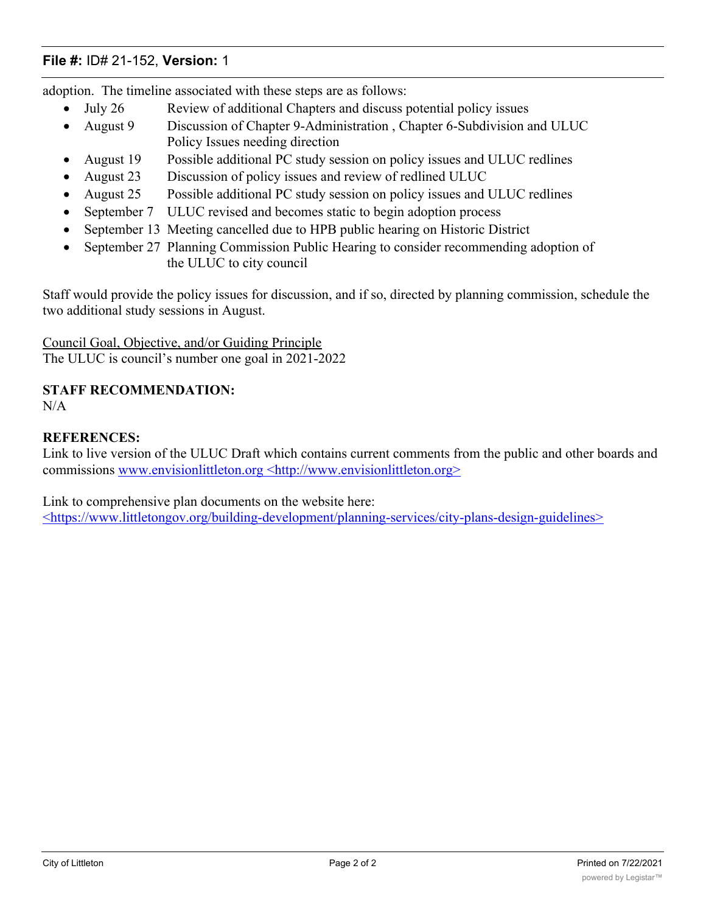# **File #:** ID# 21-152, **Version:** 1

adoption. The timeline associated with these steps are as follows:

- July 26 Review of additional Chapters and discuss potential policy issues
- · August 9 Discussion of Chapter 9-Administration , Chapter 6-Subdivision and ULUC Policy Issues needing direction
- August 19 Possible additional PC study session on policy issues and ULUC redlines
- August 23 Discussion of policy issues and review of redlined ULUC
- August 25 Possible additional PC study session on policy issues and ULUC redlines
- September 7 ULUC revised and becomes static to begin adoption process
- September 13 Meeting cancelled due to HPB public hearing on Historic District
- September 27 Planning Commission Public Hearing to consider recommending adoption of the ULUC to city council

Staff would provide the policy issues for discussion, and if so, directed by planning commission, schedule the two additional study sessions in August.

Council Goal, Objective, and/or Guiding Principle

The ULUC is council's number one goal in 2021-2022

# **STAFF RECOMMENDATION:**

N/A

# **REFERENCES:**

Link to live version of the ULUC Draft which contains current comments from the public and other boards and commissions www.envisionlittleton.org <http://www.envisionlittleton.org>

Link to comprehensive plan documents on the website here: <https://www.littletongov.org/building-development/planning-services/city-plans-design-guidelines>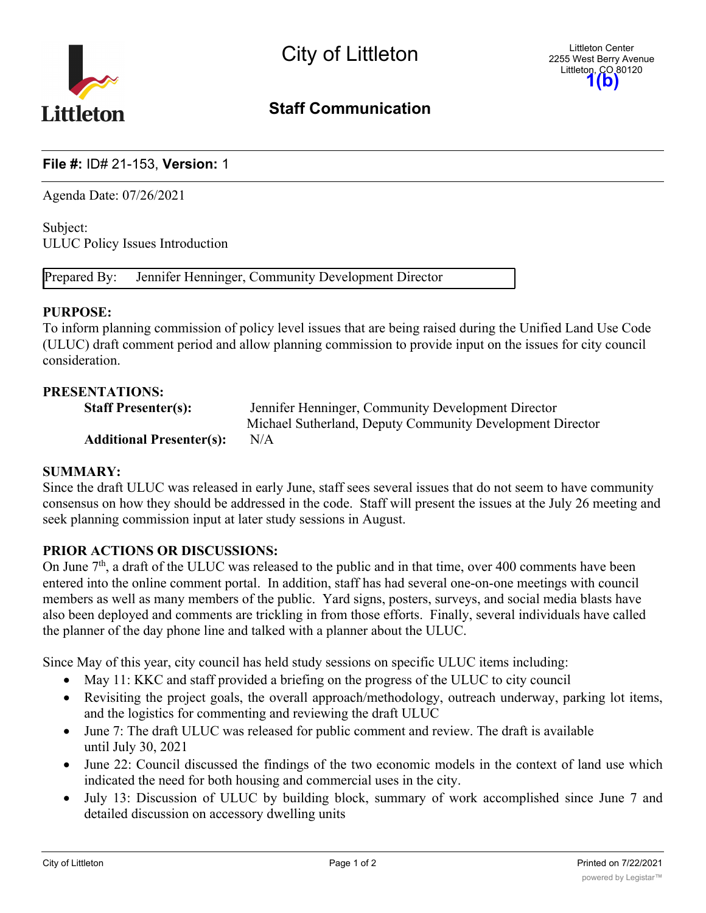

# Staff Communication

# File #: ID# 21-153, Version: 1

Agenda Date: 07/26/2021

Subject: ULUC Policy Issues Introduction

Prepared By: Jennifer Henninger, Community Development Director

#### PURPOSE:

To inform planning commission of policy level issues that are being raised during the Unified Land Use Code (ULUC) draft comment period and allow planning commission to provide input on the issues for city council consideration.

#### PRESENTATIONS:

| <b>Staff Presenter(s):</b>      | Jennifer Henninger, Community Development Director        |
|---------------------------------|-----------------------------------------------------------|
|                                 | Michael Sutherland, Deputy Community Development Director |
| <b>Additional Presenter(s):</b> | N/A                                                       |

#### SUMMARY:

Since the draft ULUC was released in early June, staff sees several issues that do not seem to have community consensus on how they should be addressed in the code. Staff will present the issues at the July 26 meeting and seek planning commission input at later study sessions in August.

# PRIOR ACTIONS OR DISCUSSIONS:

On June  $7<sup>th</sup>$ , a draft of the ULUC was released to the public and in that time, over 400 comments have been entered into the online comment portal. In addition, staff has had several one-on-one meetings with council members as well as many members of the public. Yard signs, posters, surveys, and social media blasts have also been deployed and comments are trickling in from those efforts. Finally, several individuals have called the planner of the day phone line and talked with a planner about the ULUC.

Since May of this year, city council has held study sessions on specific ULUC items including:

- May 11: KKC and staff provided a briefing on the progress of the ULUC to city council
- · Revisiting the project goals, the overall approach/methodology, outreach underway, parking lot items, and the logistics for commenting and reviewing the draft ULUC
- · June 7: The draft ULUC was released for public comment and review. The draft is available until July 30, 2021
- June 22: Council discussed the findings of the two economic models in the context of land use which indicated the need for both housing and commercial uses in the city.
- July 13: Discussion of ULUC by building block, summary of work accomplished since June 7 and detailed discussion on accessory dwelling units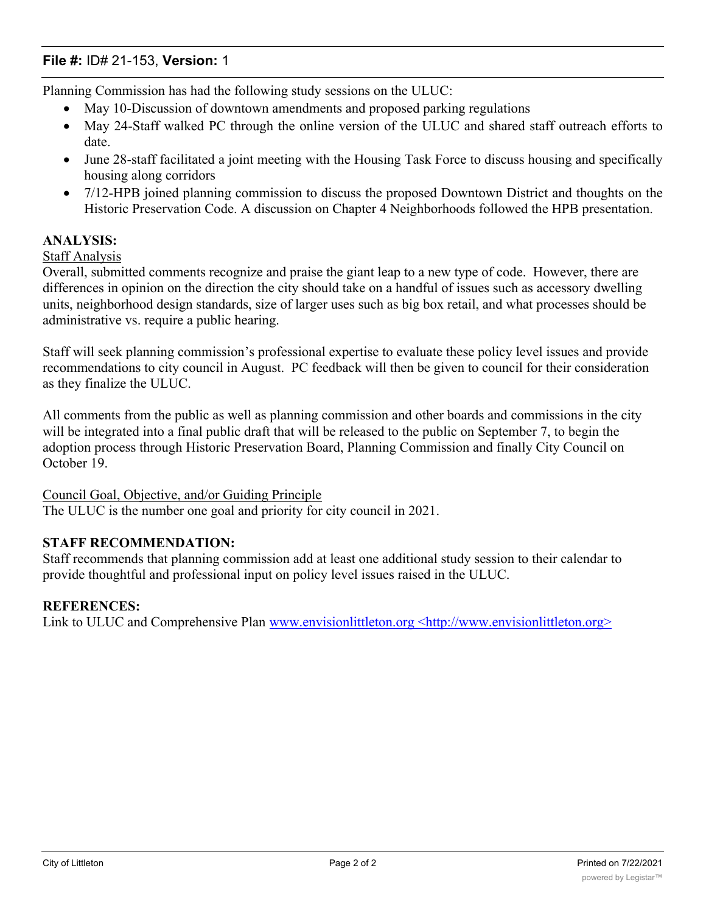# File #: ID# 21-153, Version: 1

Planning Commission has had the following study sessions on the ULUC:

- May 10-Discussion of downtown amendments and proposed parking regulations
- · May 24-Staff walked PC through the online version of the ULUC and shared staff outreach efforts to date.
- · June 28-staff facilitated a joint meeting with the Housing Task Force to discuss housing and specifically housing along corridors
- · 7/12-HPB joined planning commission to discuss the proposed Downtown District and thoughts on the Historic Preservation Code. A discussion on Chapter 4 Neighborhoods followed the HPB presentation.

# ANALYSIS:

# Staff Analysis

Overall, submitted comments recognize and praise the giant leap to a new type of code. However, there are differences in opinion on the direction the city should take on a handful of issues such as accessory dwelling units, neighborhood design standards, size of larger uses such as big box retail, and what processes should be administrative vs. require a public hearing.

Staff will seek planning commission's professional expertise to evaluate these policy level issues and provide recommendations to city council in August. PC feedback will then be given to council for their consideration as they finalize the ULUC.

All comments from the public as well as planning commission and other boards and commissions in the city will be integrated into a final public draft that will be released to the public on September 7, to begin the adoption process through Historic Preservation Board, Planning Commission and finally City Council on October 19.

Council Goal, Objective, and/or Guiding Principle

The ULUC is the number one goal and priority for city council in 2021.

# STAFF RECOMMENDATION:

Staff recommends that planning commission add at least one additional study session to their calendar to provide thoughtful and professional input on policy level issues raised in the ULUC.

#### REFERENCES:

Link to ULUC and Comprehensive Plan www.envisionlittleton.org <http://www.envisionlittleton.org>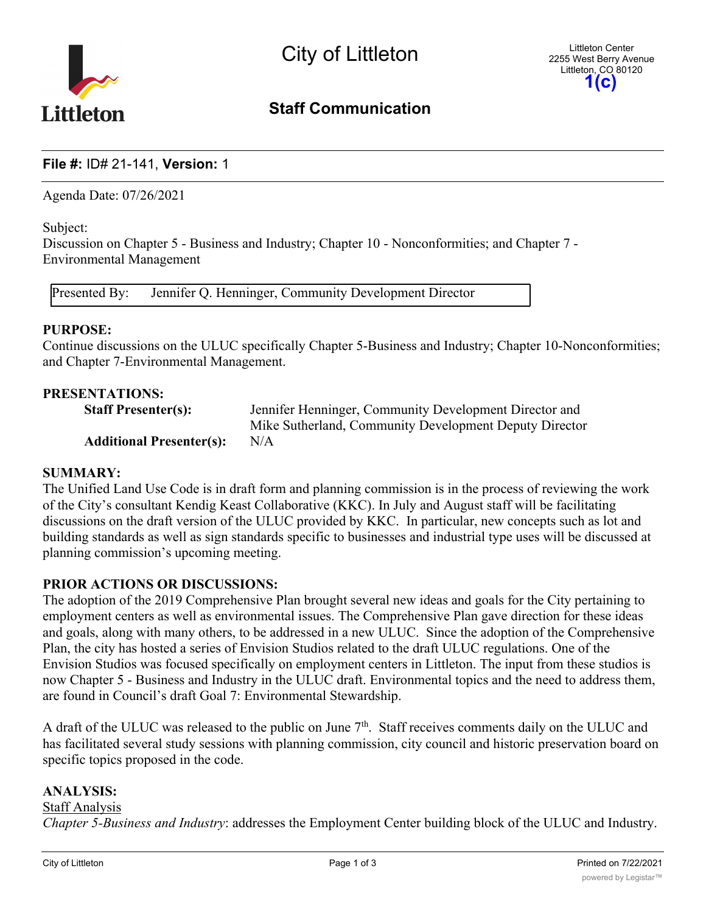

# Staff Communication

# File #: ID# 21-141, Version: 1

Agenda Date: 07/26/2021

Subject:

Discussion on Chapter 5 - Business and Industry; Chapter 10 - Nonconformities; and Chapter 7 - Environmental Management

Presented By: Jennifer Q. Henninger, Community Development Director

#### PURPOSE:

Continue discussions on the ULUC specifically Chapter 5-Business and Industry; Chapter 10-Nonconformities; and Chapter 7-Environmental Management.

#### PRESENTATIONS:

| <b>Staff Presenter(s):</b>      | Jennifer Henninger, Community Development Director and |
|---------------------------------|--------------------------------------------------------|
|                                 | Mike Sutherland, Community Development Deputy Director |
| <b>Additional Presenter(s):</b> | N/A                                                    |

#### SUMMARY:

The Unified Land Use Code is in draft form and planning commission is in the process of reviewing the work of the City's consultant Kendig Keast Collaborative (KKC). In July and August staff will be facilitating discussions on the draft version of the ULUC provided by KKC. In particular, new concepts such as lot and building standards as well as sign standards specific to businesses and industrial type uses will be discussed at planning commission's upcoming meeting.

# PRIOR ACTIONS OR DISCUSSIONS:

The adoption of the 2019 Comprehensive Plan brought several new ideas and goals for the City pertaining to employment centers as well as environmental issues. The Comprehensive Plan gave direction for these ideas and goals, along with many others, to be addressed in a new ULUC. Since the adoption of the Comprehensive Plan, the city has hosted a series of Envision Studios related to the draft ULUC regulations. One of the Envision Studios was focused specifically on employment centers in Littleton. The input from these studios is now Chapter 5 - Business and Industry in the ULUC draft. Environmental topics and the need to address them, are found in Council's draft Goal 7: Environmental Stewardship.

A draft of the ULUC was released to the public on June  $7<sup>th</sup>$ . Staff receives comments daily on the ULUC and has facilitated several study sessions with planning commission, city council and historic preservation board on specific topics proposed in the code.

#### ANALYSIS:

Staff Analysis *Chapter 5-Business and Industry*: addresses the Employment Center building block of the ULUC and Industry.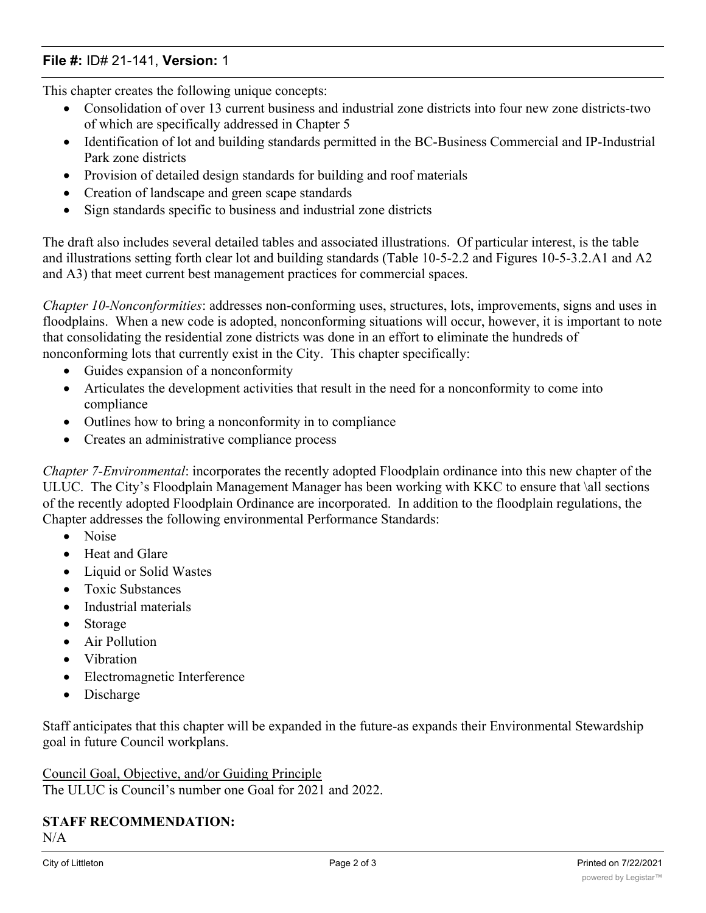# File #: ID# 21-141, Version: 1

This chapter creates the following unique concepts:

- · Consolidation of over 13 current business and industrial zone districts into four new zone districts-two of which are specifically addressed in Chapter 5
- · Identification of lot and building standards permitted in the BC-Business Commercial and IP-Industrial Park zone districts
- Provision of detailed design standards for building and roof materials
- Creation of landscape and green scape standards
- Sign standards specific to business and industrial zone districts

The draft also includes several detailed tables and associated illustrations. Of particular interest, is the table and illustrations setting forth clear lot and building standards (Table 10-5-2.2 and Figures 10-5-3.2.A1 and A2 and A3) that meet current best management practices for commercial spaces.

*Chapter 10-Nonconformities*: addresses non-conforming uses, structures, lots, improvements, signs and uses in floodplains. When a new code is adopted, nonconforming situations will occur, however, it is important to note that consolidating the residential zone districts was done in an effort to eliminate the hundreds of nonconforming lots that currently exist in the City. This chapter specifically:

- Guides expansion of a nonconformity
- · Articulates the development activities that result in the need for a nonconformity to come into compliance
- Outlines how to bring a nonconformity in to compliance
- · Creates an administrative compliance process

*Chapter 7-Environmental*: incorporates the recently adopted Floodplain ordinance into this new chapter of the ULUC. The City's Floodplain Management Manager has been working with KKC to ensure that \all sections of the recently adopted Floodplain Ordinance are incorporated. In addition to the floodplain regulations, the Chapter addresses the following environmental Performance Standards:

- · Noise
- Heat and Glare
- · Liquid or Solid Wastes
- · Toxic Substances
- · Industrial materials
- **Storage**
- Air Pollution
- · Vibration
- · Electromagnetic Interference
- **Discharge**

Staff anticipates that this chapter will be expanded in the future-as expands their Environmental Stewardship goal in future Council workplans.

Council Goal, Objective, and/or Guiding Principle The ULUC is Council's number one Goal for 2021 and 2022.

#### STAFF RECOMMENDATION:  $N/A$